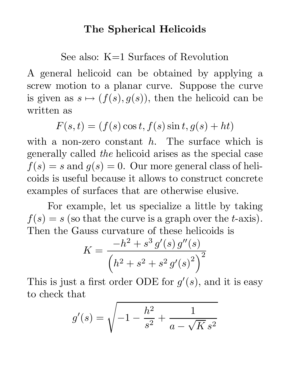## The Spherical Helicoids

See also: K=1 Surfaces of Revolution

A general helicoid can be obtained by applying a screw motion to a planar curve. Suppose the curve is given as  $s \mapsto (f(s), g(s))$ , then the helicoid can be written as

 $F(s,t) = (f(s)\cos t, f(s)\sin t, g(s) + ht)$ 

with a non-zero constant  $h$ . The surface which is generally called the helicoid arises as the special case  $f(s) = s$  and  $g(s) = 0$ . Our more general class of helicoids is useful because it allows to construct concrete examples of surfaces that are otherwise elusive.

For example, let us specialize a little by taking  $f(s) = s$  (so that the curve is a graph over the *t*-axis). Then the Gauss curvature of these helicoids is

$$
K = \frac{-h^2 + s^3 g'(s) g''(s)}{\left(h^2 + s^2 + s^2 g'(s)^2\right)^2}
$$

This is just a first order ODE for  $g'(s)$ , and it is easy to check that

$$
g'(s) = \sqrt{-1 - \frac{h^2}{s^2} + \frac{1}{a - \sqrt{K} s^2}}
$$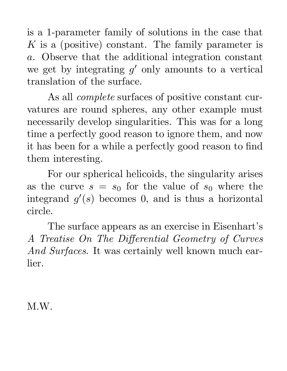is a 1-parameter family of solutions in the case that  $K$  is a (positive) constant. The family parameter is a. Observe that the additional integration constant we get by integrating  $g'$  only amounts to a vertical translation of the surface.

As all complete surfaces of positive constant curvatures are round spheres, any other example must necessarily develop singularities. This was for a long time a perfectly good reason to ignore them, and now it has been for a while a perfectly good reason to find them interesting.

For our spherical helicoids, the singularity arises as the curve  $s = s_0$  for the value of  $s_0$  where the integrand  $g'(s)$  becomes 0, and is thus a horizontal circle.

The surface appears as an exercise in Eisenhart's A Treatise On The Differential Geometry of Curves And Surfaces. It was certainly well known much earlier.

M.W.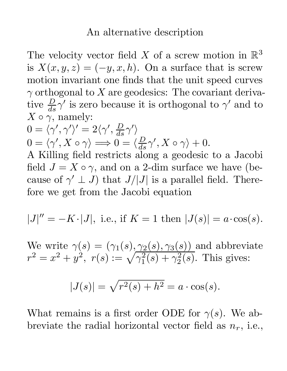## An alternative description

The velocity vector field X of a screw motion in  $\mathbb{R}^3$ is  $X(x, y, z) = (-y, x, h)$ . On a surface that is screw motion invariant one finds that the unit speed curves  $\gamma$  orthogonal to X are geodesics: The covariant derivative  $\frac{D}{ds} \gamma'$  is zero because it is orthogonal to  $\gamma'$  and to  $X \circ \gamma$ , namely:

$$
0 = \langle \gamma', \gamma' \rangle' = 2 \langle \gamma', \frac{D}{ds} \gamma' \rangle 0 = \langle \gamma', X \circ \gamma \rangle \Longrightarrow 0 = \langle \frac{D}{ds} \gamma', X \circ \gamma \rangle + 0.
$$

A Killing field restricts along a geodesic to a Jacobi field  $J = X \circ \gamma$ , and on a 2-dim surface we have (because of  $\gamma' \perp J$ ) that  $J/|J|$  is a parallel field. Therefore we get from the Jacobi equation

$$
|J|'' = -K \cdot |J|
$$
, i.e., if  $K = 1$  then  $|J(s)| = a \cdot \cos(s)$ .

We write  $\gamma(s) = (\gamma_1(s), \gamma_2(s), \gamma_3(s))$  and abbreviate  $r^2 = x^2 + y^2, \,\, r(s) := \sqrt{\gamma_1^2}$  $\frac{2}{1}(s)+\gamma_2^2$  $2^2(s)$ . This gives:

$$
|J(s)| = \sqrt{r^2(s) + h^2} = a \cdot \cos(s).
$$

What remains is a first order ODE for  $\gamma(s)$ . We abbreviate the radial horizontal vector field as  $n_r$ , i.e.,